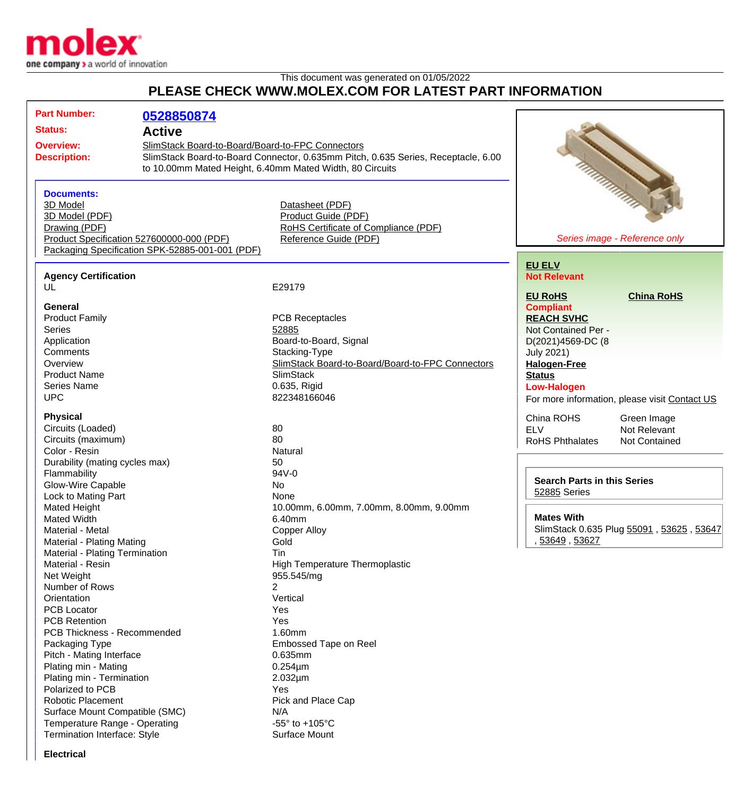

## This document was generated on 01/05/2022 **PLEASE CHECK WWW.MOLEX.COM FOR LATEST PART INFORMATION**

| <b>Part Number:</b>                | 0528850874                                       |                                                                                   |                                                    |                                                                                                                                                                                                                                |
|------------------------------------|--------------------------------------------------|-----------------------------------------------------------------------------------|----------------------------------------------------|--------------------------------------------------------------------------------------------------------------------------------------------------------------------------------------------------------------------------------|
| <b>Status:</b>                     |                                                  |                                                                                   |                                                    |                                                                                                                                                                                                                                |
|                                    | <b>Active</b>                                    |                                                                                   |                                                    |                                                                                                                                                                                                                                |
| <b>Overview:</b>                   | SlimStack Board-to-Board/Board-to-FPC Connectors |                                                                                   |                                                    |                                                                                                                                                                                                                                |
| <b>Description:</b>                |                                                  | SlimStack Board-to-Board Connector, 0.635mm Pitch, 0.635 Series, Receptacle, 6.00 |                                                    |                                                                                                                                                                                                                                |
|                                    |                                                  | to 10.00mm Mated Height, 6.40mm Mated Width, 80 Circuits                          |                                                    |                                                                                                                                                                                                                                |
|                                    |                                                  |                                                                                   |                                                    | Manual Contract of the Contract of the Contract of the Contract of the Contract of the Contract of the Contract of the Contract of the Contract of the Contract of the Contract of the Contract of the Contract of the Contrac |
| <b>Documents:</b>                  |                                                  |                                                                                   |                                                    |                                                                                                                                                                                                                                |
| 3D Model                           |                                                  | Datasheet (PDF)                                                                   |                                                    |                                                                                                                                                                                                                                |
| 3D Model (PDF)                     |                                                  | Product Guide (PDF)                                                               |                                                    |                                                                                                                                                                                                                                |
| Drawing (PDF)                      |                                                  | RoHS Certificate of Compliance (PDF)                                              |                                                    |                                                                                                                                                                                                                                |
|                                    | Product Specification 527600000-000 (PDF)        | Reference Guide (PDF)                                                             |                                                    | Series image - Reference only                                                                                                                                                                                                  |
|                                    | Packaging Specification SPK-52885-001-001 (PDF)  |                                                                                   |                                                    |                                                                                                                                                                                                                                |
|                                    |                                                  |                                                                                   | <b>EU ELV</b>                                      |                                                                                                                                                                                                                                |
| <b>Agency Certification</b>        |                                                  |                                                                                   | <b>Not Relevant</b>                                |                                                                                                                                                                                                                                |
| UL                                 |                                                  | E29179                                                                            |                                                    |                                                                                                                                                                                                                                |
|                                    |                                                  |                                                                                   | <b>EU RoHS</b>                                     | <b>China RoHS</b>                                                                                                                                                                                                              |
| General                            |                                                  |                                                                                   | <b>Compliant</b>                                   |                                                                                                                                                                                                                                |
| <b>Product Family</b>              |                                                  | <b>PCB Receptacles</b>                                                            | <b>REACH SVHC</b>                                  |                                                                                                                                                                                                                                |
| <b>Series</b>                      |                                                  | 52885                                                                             | Not Contained Per -                                |                                                                                                                                                                                                                                |
| Application                        |                                                  | Board-to-Board, Signal                                                            | D(2021)4569-DC (8                                  |                                                                                                                                                                                                                                |
| Comments                           |                                                  | Stacking-Type                                                                     | <b>July 2021)</b>                                  |                                                                                                                                                                                                                                |
| Overview                           |                                                  | SlimStack Board-to-Board/Board-to-FPC Connectors                                  | <b>Halogen-Free</b>                                |                                                                                                                                                                                                                                |
| <b>Product Name</b>                |                                                  | <b>SlimStack</b>                                                                  | <b>Status</b>                                      |                                                                                                                                                                                                                                |
| <b>Series Name</b>                 |                                                  | 0.635, Rigid                                                                      | <b>Low-Halogen</b>                                 |                                                                                                                                                                                                                                |
| <b>UPC</b>                         |                                                  | 822348166046                                                                      |                                                    | For more information, please visit Contact US                                                                                                                                                                                  |
|                                    |                                                  |                                                                                   |                                                    |                                                                                                                                                                                                                                |
| <b>Physical</b>                    |                                                  |                                                                                   | China ROHS                                         | Green Image                                                                                                                                                                                                                    |
| Circuits (Loaded)                  |                                                  | 80                                                                                | <b>ELV</b>                                         | Not Relevant                                                                                                                                                                                                                   |
| Circuits (maximum)                 |                                                  | 80                                                                                | <b>RoHS Phthalates</b>                             | Not Contained                                                                                                                                                                                                                  |
| Color - Resin                      |                                                  | Natural                                                                           |                                                    |                                                                                                                                                                                                                                |
| Durability (mating cycles max)     |                                                  | 50                                                                                |                                                    |                                                                                                                                                                                                                                |
| Flammability                       |                                                  | 94V-0                                                                             | <b>Search Parts in this Series</b><br>52885 Series |                                                                                                                                                                                                                                |
| Glow-Wire Capable                  |                                                  | No                                                                                |                                                    |                                                                                                                                                                                                                                |
| Lock to Mating Part                |                                                  | None                                                                              |                                                    |                                                                                                                                                                                                                                |
| Mated Height                       |                                                  | 10.00mm, 6.00mm, 7.00mm, 8.00mm, 9.00mm                                           | <b>Mates With</b>                                  |                                                                                                                                                                                                                                |
| <b>Mated Width</b>                 |                                                  | 6.40mm                                                                            |                                                    |                                                                                                                                                                                                                                |
| Material - Metal                   |                                                  | Copper Alloy                                                                      |                                                    | SlimStack 0.635 Plug 55091, 53625, 53647                                                                                                                                                                                       |
| Material - Plating Mating          |                                                  | Gold                                                                              | 53649, 53627                                       |                                                                                                                                                                                                                                |
| Material - Plating Termination     |                                                  | Tin                                                                               |                                                    |                                                                                                                                                                                                                                |
| Material - Resin                   |                                                  | <b>High Temperature Thermoplastic</b>                                             |                                                    |                                                                                                                                                                                                                                |
| Net Weight                         |                                                  | 955.545/mg                                                                        |                                                    |                                                                                                                                                                                                                                |
| Number of Rows                     |                                                  | 2                                                                                 |                                                    |                                                                                                                                                                                                                                |
| Orientation                        |                                                  | Vertical                                                                          |                                                    |                                                                                                                                                                                                                                |
| <b>PCB Locator</b>                 |                                                  | Yes                                                                               |                                                    |                                                                                                                                                                                                                                |
| <b>PCB Retention</b>               |                                                  | Yes                                                                               |                                                    |                                                                                                                                                                                                                                |
| <b>PCB Thickness - Recommended</b> |                                                  | 1.60mm                                                                            |                                                    |                                                                                                                                                                                                                                |
| Packaging Type                     |                                                  | <b>Embossed Tape on Reel</b>                                                      |                                                    |                                                                                                                                                                                                                                |
| Pitch - Mating Interface           |                                                  | 0.635mm                                                                           |                                                    |                                                                                                                                                                                                                                |
| Plating min - Mating               |                                                  | $0.254 \mu m$                                                                     |                                                    |                                                                                                                                                                                                                                |
| Plating min - Termination          |                                                  | $2.032 \mu m$                                                                     |                                                    |                                                                                                                                                                                                                                |
| Polarized to PCB                   |                                                  | Yes                                                                               |                                                    |                                                                                                                                                                                                                                |
| <b>Robotic Placement</b>           |                                                  | Pick and Place Cap                                                                |                                                    |                                                                                                                                                                                                                                |
| Surface Mount Compatible (SMC)     |                                                  | N/A                                                                               |                                                    |                                                                                                                                                                                                                                |
| Temperature Range - Operating      |                                                  | -55 $\degree$ to +105 $\degree$ C                                                 |                                                    |                                                                                                                                                                                                                                |
| Termination Interface: Style       |                                                  | <b>Surface Mount</b>                                                              |                                                    |                                                                                                                                                                                                                                |

**Electrical**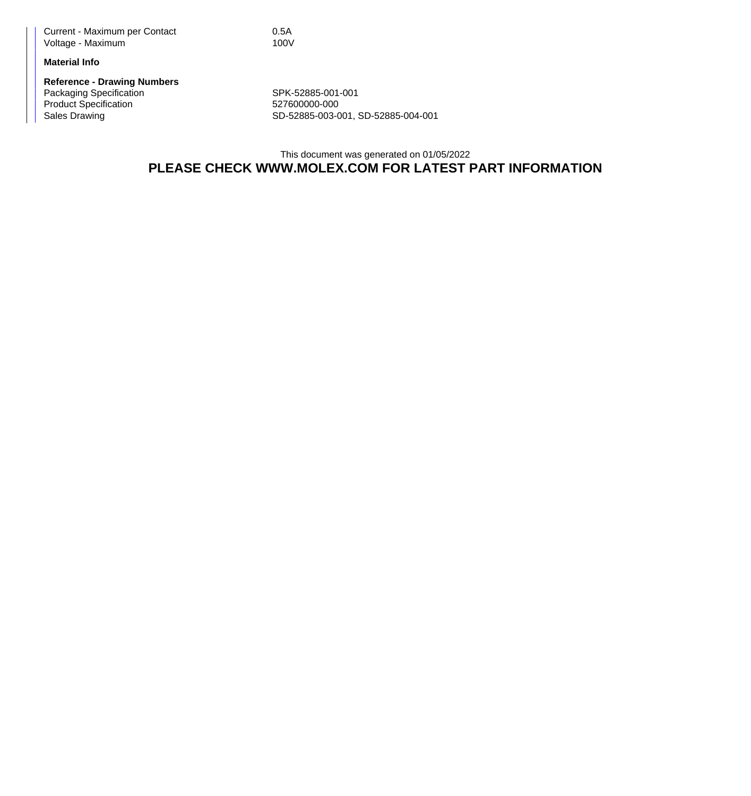Current - Maximum per Contact 0.5A Voltage - Maximum 100V

## **Material Info**

**Reference - Drawing Numbers** Packaging Specification SPK-52885-001-001 Product Specification 527600000-000<br>Sales Drawing 527600000-000<br>SD-52885-003-0

SD-52885-003-001, SD-52885-004-001

This document was generated on 01/05/2022 **PLEASE CHECK WWW.MOLEX.COM FOR LATEST PART INFORMATION**